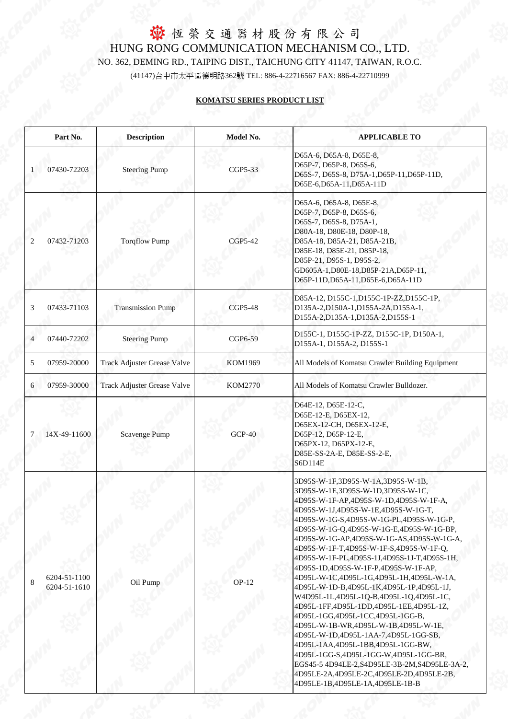#### **KOMATSU SERIES PRODUCT LIST**

|                | Part No.                     | <b>Description</b>                 | Model No.      | <b>APPLICABLE TO</b>                                                                                                                                                                                                                                                                                                                                                                                                                                                                                                                                                                                                                                                                                                                                                                                                                                                                                                                            |
|----------------|------------------------------|------------------------------------|----------------|-------------------------------------------------------------------------------------------------------------------------------------------------------------------------------------------------------------------------------------------------------------------------------------------------------------------------------------------------------------------------------------------------------------------------------------------------------------------------------------------------------------------------------------------------------------------------------------------------------------------------------------------------------------------------------------------------------------------------------------------------------------------------------------------------------------------------------------------------------------------------------------------------------------------------------------------------|
|                | 07430-72203                  | <b>Steering Pump</b>               | CGP5-33        | D65A-6, D65A-8, D65E-8,<br>D65P-7, D65P-8, D65S-6,<br>D65S-7, D65S-8, D75A-1, D65P-11, D65P-11D,<br>D65E-6,D65A-11,D65A-11D                                                                                                                                                                                                                                                                                                                                                                                                                                                                                                                                                                                                                                                                                                                                                                                                                     |
| $\overline{2}$ | 07432-71203                  | <b>Torqflow Pump</b>               | <b>CGP5-42</b> | D65A-6, D65A-8, D65E-8,<br>D65P-7, D65P-8, D65S-6,<br>D65S-7, D65S-8, D75A-1,<br>D80A-18, D80E-18, D80P-18,<br>D85A-18, D85A-21, D85A-21B,<br>D85E-18, D85E-21, D85P-18,<br>D85P-21, D95S-1, D95S-2,<br>GD605A-1,D80E-18,D85P-21A,D65P-11,<br>D65P-11D, D65A-11, D65E-6, D65A-11D                                                                                                                                                                                                                                                                                                                                                                                                                                                                                                                                                                                                                                                               |
| 3              | 07433-71103                  | <b>Transmission Pump</b>           | <b>CGP5-48</b> | D85A-12, D155C-1, D155C-1P-ZZ, D155C-1P,<br>D135A-2,D150A-1,D155A-2A,D155A-1,<br>D155A-2, D135A-1, D135A-2, D155S-1                                                                                                                                                                                                                                                                                                                                                                                                                                                                                                                                                                                                                                                                                                                                                                                                                             |
| $\overline{4}$ | 07440-72202                  | <b>Steering Pump</b>               | CGP6-59        | D155C-1, D155C-1P-ZZ, D155C-1P, D150A-1,<br>D155A-1, D155A-2, D155S-1                                                                                                                                                                                                                                                                                                                                                                                                                                                                                                                                                                                                                                                                                                                                                                                                                                                                           |
| 5              | 07959-20000                  | <b>Track Adjuster Grease Valve</b> | KOM1969        | All Models of Komatsu Crawler Building Equipment                                                                                                                                                                                                                                                                                                                                                                                                                                                                                                                                                                                                                                                                                                                                                                                                                                                                                                |
| 6              | 07959-30000                  | <b>Track Adjuster Grease Valve</b> | <b>KOM2770</b> | All Models of Komatsu Crawler Bulldozer.                                                                                                                                                                                                                                                                                                                                                                                                                                                                                                                                                                                                                                                                                                                                                                                                                                                                                                        |
| $\tau$         | 14X-49-11600                 | <b>Scavenge Pump</b>               | $GCP-40$       | D64E-12, D65E-12-C,<br>D65E-12-E, D65EX-12,<br>D65EX-12-CH, D65EX-12-E,<br>D65P-12, D65P-12-E,<br>D65PX-12, D65PX-12-E,<br>D85E-SS-2A-E, D85E-SS-2-E,<br>S6D114E                                                                                                                                                                                                                                                                                                                                                                                                                                                                                                                                                                                                                                                                                                                                                                                |
| 8              | 6204-51-1100<br>6204-51-1610 | Oil Pump                           | $OP-12$        | 3D95S-W-1F,3D95S-W-1A,3D95S-W-1B,<br>3D95S-W-1E,3D95S-W-1D,3D95S-W-1C,<br>4D95S-W-1F-AP,4D95S-W-1D,4D95S-W-1F-A,<br>4D95S-W-1J,4D95S-W-1E,4D95S-W-1G-T,<br>4D95S-W-1G-S,4D95S-W-1G-PL,4D95S-W-1G-P,<br>4D95S-W-1G-Q,4D95S-W-1G-E,4D95S-W-1G-BP,<br>4D95S-W-1G-AP,4D95S-W-1G-AS,4D95S-W-1G-A,<br>4D95S-W-1F-T,4D95S-W-1F-S,4D95S-W-1F-Q,<br>4D95S-W-1F-PL,4D95S-1J,4D95S-1J-T,4D95S-1H,<br>4D95S-1D,4D95S-W-1F-P,4D95S-W-1F-AP,<br>4D95L-W-1C,4D95L-1G,4D95L-1H,4D95L-W-1A,<br>4D95L-W-1D-B,4D95L-1K,4D95L-1P,4D95L-1J,<br>W4D95L-1L,4D95L-1Q-B,4D95L-1Q,4D95L-1C,<br>4D95L-1FF,4D95L-1DD,4D95L-1EE,4D95L-1Z,<br>4D95L-1GG,4D95L-1CC,4D95L-1GG-B,<br>4D95L-W-1B-WR,4D95L-W-1B,4D95L-W-1E,<br>4D95L-W-1D,4D95L-1AA-7,4D95L-1GG-SB,<br>4D95L-1AA,4D95L-1BB,4D95L-1GG-BW,<br>4D95L-1GG-S,4D95L-1GG-W,4D95L-1GG-BR,<br>EGS45-5 4D94LE-2, S4D95LE-3B-2M, S4D95LE-3A-2,<br>4D95LE-2A,4D95LE-2C,4D95LE-2D,4D95LE-2B,<br>4D95LE-1B,4D95LE-1A,4D95LE-1B-B |

**MA**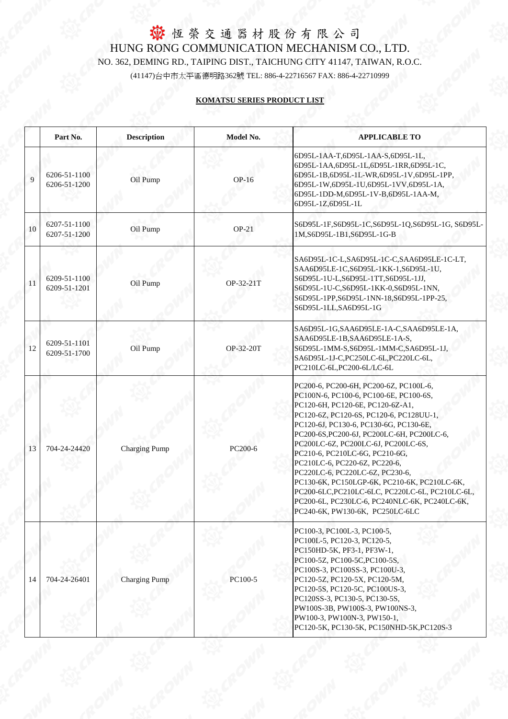#### **KOMATSU SERIES PRODUCT LIST**

|    | Part No.                     | <b>Description</b>   | Model No. | <b>APPLICABLE TO</b>                                                                                                                                                                                                                                                                                                                                                                                                                                                                                                                                                                        |
|----|------------------------------|----------------------|-----------|---------------------------------------------------------------------------------------------------------------------------------------------------------------------------------------------------------------------------------------------------------------------------------------------------------------------------------------------------------------------------------------------------------------------------------------------------------------------------------------------------------------------------------------------------------------------------------------------|
| 9  | 6206-51-1100<br>6206-51-1200 | Oil Pump             | $OP-16$   | 6D95L-1AA-T,6D95L-1AA-S,6D95L-1L,<br>6D95L-1AA,6D95L-1L,6D95L-1RR,6D95L-1C,<br>6D95L-1B,6D95L-1L-WR,6D95L-1V,6D95L-1PP,<br>6D95L-1W,6D95L-1U,6D95L-1VV,6D95L-1A,<br>6D95L-1DD-M,6D95L-1V-B,6D95L-1AA-M,<br>6D95L-1Z,6D95L-1L                                                                                                                                                                                                                                                                                                                                                                |
| 10 | 6207-51-1100<br>6207-51-1200 | Oil Pump             | $OP-21$   | S6D95L-1F,S6D95L-1C,S6D95L-1Q,S6D95L-1G, S6D95L-<br>1M, S6D95L-1B1, S6D95L-1G-B                                                                                                                                                                                                                                                                                                                                                                                                                                                                                                             |
| 11 | 6209-51-1100<br>6209-51-1201 | Oil Pump             | OP-32-21T | SA6D95L-1C-L,SA6D95L-1C-C,SAA6D95LE-1C-LT,<br>SAA6D95LE-1C,S6D95L-1KK-1,S6D95L-1U,<br>S6D95L-1U-L,S6D95L-1TT,S6D95L-1JJ,<br>S6D95L-1U-C,S6D95L-1KK-0,S6D95L-1NN,<br>S6D95L-1PP,S6D95L-1NN-18,S6D95L-1PP-25,<br>S6D95L-1LL, SA6D95L-1G                                                                                                                                                                                                                                                                                                                                                       |
| 12 | 6209-51-1101<br>6209-51-1700 | Oil Pump             | OP-32-20T | SA6D95L-1G, SAA6D95LE-1A-C, SAA6D95LE-1A,<br>SAA6D95LE-1B, SAA6D95LE-1A-S,<br>S6D95L-1MM-S,S6D95L-1MM-C,SA6D95L-1J,<br>SA6D95L-1J-C,PC250LC-6L,PC220LC-6L,<br>PC210LC-6L,PC200-6L/LC-6L                                                                                                                                                                                                                                                                                                                                                                                                     |
| 13 | 704-24-24420                 | <b>Charging Pump</b> | PC200-6   | PC200-6, PC200-6H, PC200-6Z, PC100L-6,<br>PC100N-6, PC100-6, PC100-6E, PC100-6S,<br>PC120-6H, PC120-6E, PC120-6Z-A1,<br>PC120-6Z, PC120-6S, PC120-6, PC128UU-1,<br>PC120-6J, PC130-6, PC130-6G, PC130-6E,<br>PC200-6S, PC200-6J, PC200LC-6H, PC200LC-6,<br>PC200LC-6Z, PC200LC-6J, PC200LC-6S,<br>PC210-6, PC210LC-6G, PC210-6G,<br>PC210LC-6, PC220-6Z, PC220-6,<br>PC220LC-6, PC220LC-6Z, PC230-6,<br>PC130-6K, PC150LGP-6K, PC210-6K, PC210LC-6K,<br>PC200-6LC, PC210LC-6LC, PC220LC-6L, PC210LC-6L,<br>PC200-6L, PC230LC-6, PC240NLC-6K, PC240LC-6K,<br>PC240-6K, PW130-6K, PC250LC-6LC |
| 14 | 704-24-26401                 | <b>Charging Pump</b> | PC100-5   | PC100-3, PC100L-3, PC100-5,<br>PC100L-5, PC120-3, PC120-5,<br>PC150HD-5K, PF3-1, PF3W-1,<br>PC100-5Z, PC100-5C, PC100-5S,<br>PC100S-3, PC100SS-3, PC100U-3,<br>PC120-5Z, PC120-5X, PC120-5M,<br>PC120-5S, PC120-5C, PC100US-3,<br>PC120SS-3, PC130-5, PC130-5S,<br>PW100S-3B, PW100S-3, PW100NS-3,<br>PW100-3, PW100N-3, PW150-1,<br>PC120-5K, PC130-5K, PC150NHD-5K, PC120S-3                                                                                                                                                                                                              |

El CR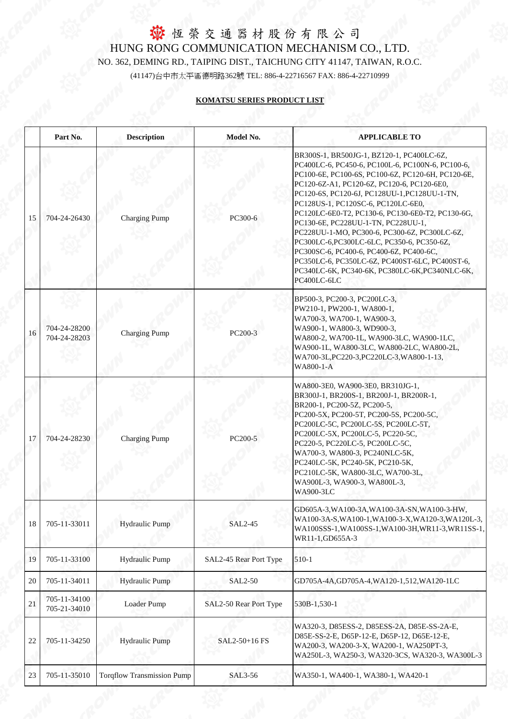|    | Part No.                     | <b>Description</b>                | Model No.              | <b>APPLICABLE TO</b>                                                                                                                                                                                                                                                                                                                                                                                                                                                                                                                                                                                                                        |
|----|------------------------------|-----------------------------------|------------------------|---------------------------------------------------------------------------------------------------------------------------------------------------------------------------------------------------------------------------------------------------------------------------------------------------------------------------------------------------------------------------------------------------------------------------------------------------------------------------------------------------------------------------------------------------------------------------------------------------------------------------------------------|
| 15 | 704-24-26430                 | <b>Charging Pump</b>              | PC300-6                | BR300S-1, BR500JG-1, BZ120-1, PC400LC-6Z,<br>PC400LC-6, PC450-6, PC100L-6, PC100N-6, PC100-6,<br>PC100-6E, PC100-6S, PC100-6Z, PC120-6H, PC120-6E,<br>PC120-6Z-A1, PC120-6Z, PC120-6, PC120-6E0,<br>PC120-6S, PC120-6J, PC128UU-1, PC128UU-1-TN,<br>PC128US-1, PC120SC-6, PC120LC-6E0,<br>PC120LC-6E0-T2, PC130-6, PC130-6E0-T2, PC130-6G,<br>PC130-6E, PC228UU-1-TN, PC228UU-1,<br>PC228UU-1-MO, PC300-6, PC300-6Z, PC300LC-6Z,<br>PC300LC-6,PC300LC-6LC, PC350-6, PC350-6Z,<br>PC300SC-6, PC400-6, PC400-6Z, PC400-6C,<br>PC350LC-6, PC350LC-6Z, PC400ST-6LC, PC400ST-6,<br>PC340LC-6K, PC340-6K, PC380LC-6K, PC340NLC-6K,<br>PC400LC-6LC |
| 16 | 704-24-28200<br>704-24-28203 | <b>Charging Pump</b>              | PC200-3                | BP500-3, PC200-3, PC200LC-3,<br>PW210-1, PW200-1, WA800-1,<br>WA700-3, WA700-1, WA900-3,<br>WA900-1, WA800-3, WD900-3,<br>WA800-2, WA700-1L, WA900-3LC, WA900-1LC,<br>WA900-1L, WA800-3LC, WA800-2LC, WA800-2L,<br>WA700-3L, PC220-3, PC220LC-3, WA800-1-13,<br>WA800-1-A                                                                                                                                                                                                                                                                                                                                                                   |
| 17 | 704-24-28230                 | <b>Charging Pump</b>              | PC200-5                | WA800-3E0, WA900-3E0, BR310JG-1,<br>BR300J-1, BR200S-1, BR200J-1, BR200R-1,<br>BR200-1, PC200-5Z, PC200-5,<br>PC200-5X, PC200-5T, PC200-5S, PC200-5C,<br>PC200LC-5C, PC200LC-5S, PC200LC-5T,<br>PC200LC-5X, PC200LC-5, PC220-5C,<br>PC220-5, PC220LC-5, PC200LC-5C,<br>WA700-3, WA800-3, PC240NLC-5K,<br>PC240LC-5K, PC240-5K, PC210-5K,<br>PC210LC-5K, WA800-3LC, WA700-3L,<br>WA900L-3, WA900-3, WA800L-3,<br><b>WA900-3LC</b>                                                                                                                                                                                                            |
| 18 | 705-11-33011                 | <b>Hydraulic Pump</b>             | <b>SAL2-45</b>         | GD605A-3, WA100-3A, WA100-3A-SN, WA100-3-HW,<br>WA100-3A-S, WA100-1, WA100-3-X, WA120-3, WA120L-3,<br>WA100SSS-1, WA100SS-1, WA100-3H, WR11-3, WR11SS-1,<br>WR11-1,GD655A-3                                                                                                                                                                                                                                                                                                                                                                                                                                                                 |
| 19 | 705-11-33100                 | Hydraulic Pump                    | SAL2-45 Rear Port Type | $510-1$                                                                                                                                                                                                                                                                                                                                                                                                                                                                                                                                                                                                                                     |
| 20 | 705-11-34011                 | <b>Hydraulic Pump</b>             | <b>SAL2-50</b>         | GD705A-4A, GD705A-4, WA120-1, 512, WA120-1LC                                                                                                                                                                                                                                                                                                                                                                                                                                                                                                                                                                                                |
| 21 | 705-11-34100<br>705-21-34010 | Loader Pump                       | SAL2-50 Rear Port Type | 530B-1,530-1                                                                                                                                                                                                                                                                                                                                                                                                                                                                                                                                                                                                                                |
| 22 | 705-11-34250                 | <b>Hydraulic Pump</b>             | SAL2-50+16 FS          | WA320-3, D85ESS-2, D85ESS-2A, D85E-SS-2A-E,<br>D85E-SS-2-E, D65P-12-E, D65P-12, D65E-12-E,<br>WA200-3, WA200-3-X, WA200-1, WA250PT-3,<br>WA250L-3, WA250-3, WA320-3CS, WA320-3, WA300L-3                                                                                                                                                                                                                                                                                                                                                                                                                                                    |
| 23 | 705-11-35010                 | <b>Torqflow Transmission Pump</b> | SAL3-56                | WA350-1, WA400-1, WA380-1, WA420-1                                                                                                                                                                                                                                                                                                                                                                                                                                                                                                                                                                                                          |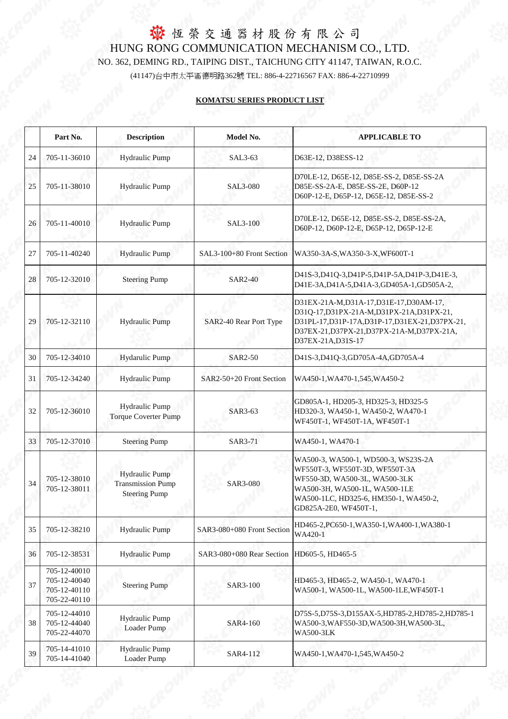|    | Part No.                                                     | <b>Description</b>                                                        | Model No.                  | <b>APPLICABLE TO</b>                                                                                                                                                                                      |
|----|--------------------------------------------------------------|---------------------------------------------------------------------------|----------------------------|-----------------------------------------------------------------------------------------------------------------------------------------------------------------------------------------------------------|
| 24 | 705-11-36010                                                 | Hydraulic Pump                                                            | SAL3-63                    | D63E-12, D38ESS-12                                                                                                                                                                                        |
| 25 | 705-11-38010                                                 | <b>Hydraulic Pump</b>                                                     | <b>SAL3-080</b>            | D70LE-12, D65E-12, D85E-SS-2, D85E-SS-2A<br>D85E-SS-2A-E, D85E-SS-2E, D60P-12<br>D60P-12-E, D65P-12, D65E-12, D85E-SS-2                                                                                   |
| 26 | 705-11-40010                                                 | <b>Hydraulic Pump</b>                                                     | <b>SAL3-100</b>            | D70LE-12, D65E-12, D85E-SS-2, D85E-SS-2A,<br>D60P-12, D60P-12-E, D65P-12, D65P-12-E                                                                                                                       |
| 27 | 705-11-40240                                                 | <b>Hydraulic Pump</b>                                                     | SAL3-100+80 Front Section  | WA350-3A-S, WA350-3-X, WF600T-1                                                                                                                                                                           |
| 28 | 705-12-32010                                                 | <b>Steering Pump</b>                                                      | <b>SAR2-40</b>             | D41S-3, D41Q-3, D41P-5, D41P-5A, D41P-3, D41E-3,<br>D41E-3A, D41A-5, D41A-3, GD405A-1, GD505A-2,                                                                                                          |
| 29 | 705-12-32110                                                 | <b>Hydraulic Pump</b>                                                     | SAR2-40 Rear Port Type     | D31EX-21A-M,D31A-17,D31E-17,D30AM-17,<br>D31Q-17,D31PX-21A-M,D31PX-21A,D31PX-21,<br>D31PL-17,D31P-17A,D31P-17,D31EX-21,D37PX-21,<br>D37EX-21, D37PX-21, D37PX-21A-M, D37PX-21A,<br>D37EX-21A, D31S-17     |
| 30 | 705-12-34010                                                 | <b>Hydarulic Pump</b>                                                     | <b>SAR2-50</b>             | D41S-3,D41Q-3,GD705A-4A,GD705A-4                                                                                                                                                                          |
| 31 | 705-12-34240                                                 | <b>Hydraulic Pump</b>                                                     | SAR2-50+20 Front Section   | WA450-1, WA470-1, 545, WA450-2                                                                                                                                                                            |
| 32 | 705-12-36010                                                 | <b>Hydraulic Pump</b><br><b>Torque Coverter Pump</b>                      | SAR3-63                    | GD805A-1, HD205-3, HD325-3, HD325-5<br>HD320-3, WA450-1, WA450-2, WA470-1<br>WF450T-1, WF450T-1A, WF450T-1                                                                                                |
| 33 | 705-12-37010                                                 | <b>Steering Pump</b>                                                      | SAR3-71                    | WA450-1, WA470-1                                                                                                                                                                                          |
| 34 | 705-12-38010<br>705-12-38011                                 | <b>Hydraulic Pump</b><br><b>Transmission Pump</b><br><b>Steering Pump</b> | <b>SAR3-080</b>            | WA500-3, WA500-1, WD500-3, WS23S-2A<br>WF550T-3, WF550T-3D, WF550T-3A<br>WF550-3D, WA500-3L, WA500-3LK<br>WA500-3H, WA500-1L, WA500-1LE<br>WA500-1LC, HD325-6, HM350-1, WA450-2,<br>GD825A-2E0, WF450T-1, |
| 35 | 705-12-38210                                                 | <b>Hydraulic Pump</b>                                                     | SAR3-080+080 Front Section | HD465-2, PC650-1, WA350-1, WA400-1, WA380-1<br>WA420-1                                                                                                                                                    |
| 36 | 705-12-38531                                                 | <b>Hydraulic Pump</b>                                                     | SAR3-080+080 Rear Section  | HD605-5, HD465-5                                                                                                                                                                                          |
| 37 | 705-12-40010<br>705-12-40040<br>705-12-40110<br>705-22-40110 | <b>Steering Pump</b>                                                      | SAR3-100                   | HD465-3, HD465-2, WA450-1, WA470-1<br>WA500-1, WA500-1L, WA500-1LE, WF450T-1                                                                                                                              |
| 38 | 705-12-44010<br>705-12-44040<br>705-22-44070                 | <b>Hydraulic Pump</b><br>Loader Pump                                      | SAR4-160                   | D75S-5, D75S-3, D155AX-5, HD785-2, HD785-2, HD785-1<br>WA500-3, WAF550-3D, WA500-3H, WA500-3L,<br><b>WA500-3LK</b>                                                                                        |
| 39 | 705-14-41010<br>705-14-41040                                 | Hydraulic Pump<br><b>Loader Pump</b>                                      | SAR4-112                   | WA450-1, WA470-1, 545, WA450-2                                                                                                                                                                            |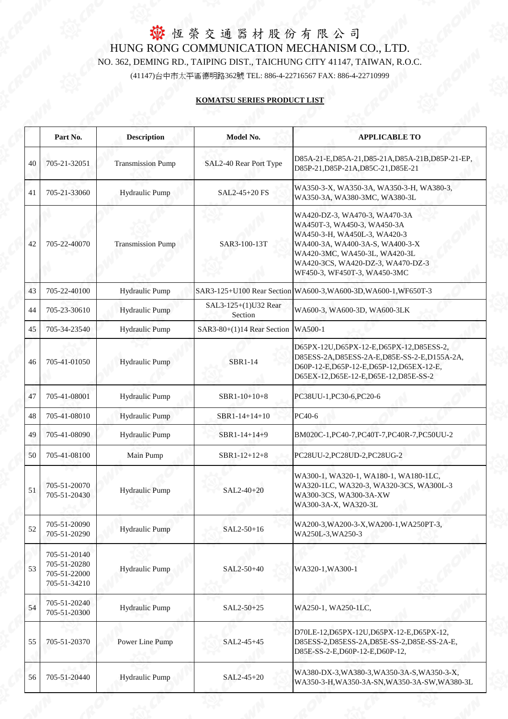#### **KOMATSU SERIES PRODUCT LIST**

|    | Part No.                                                     | <b>Description</b>       | <b>Model No.</b>                       | <b>APPLICABLE TO</b>                                                                                                                                                                                                                  |
|----|--------------------------------------------------------------|--------------------------|----------------------------------------|---------------------------------------------------------------------------------------------------------------------------------------------------------------------------------------------------------------------------------------|
|    |                                                              |                          |                                        |                                                                                                                                                                                                                                       |
| 40 | 705-21-32051                                                 | <b>Transmission Pump</b> | SAL2-40 Rear Port Type                 | D85A-21-E,D85A-21,D85-21A,D85A-21B,D85P-21-EP,<br>D85P-21, D85P-21A, D85C-21, D85E-21                                                                                                                                                 |
| 41 | 705-21-33060                                                 | Hydraulic Pump           | SAL2-45+20 FS                          | WA350-3-X, WA350-3A, WA350-3-H, WA380-3,<br>WA350-3A, WA380-3MC, WA380-3L                                                                                                                                                             |
| 42 | 705-22-40070                                                 | <b>Transmission Pump</b> | SAR3-100-13T                           | WA420-DZ-3, WA470-3, WA470-3A<br>WA450T-3, WA450-3, WA450-3A<br>WA450-3-H, WA450L-3, WA420-3<br>WA400-3A, WA400-3A-S, WA400-3-X<br>WA420-3MC, WA450-3L, WA420-3L<br>WA420-3CS, WA420-DZ-3, WA470-DZ-3<br>WF450-3, WF450T-3, WA450-3MC |
| 43 | 705-22-40100                                                 | <b>Hydraulic Pump</b>    |                                        | SAR3-125+U100 Rear Section WA600-3, WA600-3D, WA600-1, WF650T-3                                                                                                                                                                       |
| 44 | 705-23-30610                                                 | <b>Hydraulic Pump</b>    | SAL3-125+(1)U32 Rear<br>Section        | WA600-3, WA600-3D, WA600-3LK                                                                                                                                                                                                          |
| 45 | 705-34-23540                                                 | <b>Hydraulic Pump</b>    | SAR3-80+ $(1)$ 14 Rear Section WA500-1 |                                                                                                                                                                                                                                       |
| 46 | 705-41-01050                                                 | <b>Hydraulic Pump</b>    | <b>SBR1-14</b>                         | D65PX-12U,D65PX-12-E,D65PX-12,D85ESS-2,<br>D85ESS-2A,D85ESS-2A-E,D85E-SS-2-E,D155A-2A,<br>D60P-12-E,D65P-12-E,D65P-12,D65EX-12-E,<br>D65EX-12,D65E-12-E,D65E-12,D85E-SS-2                                                             |
| 47 | 705-41-08001                                                 | <b>Hydraulic Pump</b>    | SBR1-10+10+8                           | PC38UU-1, PC30-6, PC20-6                                                                                                                                                                                                              |
| 48 | 705-41-08010                                                 | Hydraulic Pump           | SBR1-14+14+10                          | PC40-6                                                                                                                                                                                                                                |
| 49 | 705-41-08090                                                 | <b>Hydraulic Pump</b>    | SBR1-14+14+9                           | BM020C-1, PC40-7, PC40T-7, PC40R-7, PC50UU-2                                                                                                                                                                                          |
| 50 | 705-41-08100                                                 | Main Pump                | SBR1-12+12+8                           | PC28UU-2,PC28UD-2,PC28UG-2                                                                                                                                                                                                            |
| 51 | 705-51-20070<br>705-51-20430                                 | <b>Hydraulic Pump</b>    | SAL2-40+20                             | WA300-1, WA320-1, WA180-1, WA180-1LC,<br>WA320-1LC, WA320-3, WA320-3CS, WA300L-3<br>WA300-3CS, WA300-3A-XW<br>WA300-3A-X, WA320-3L                                                                                                    |
| 52 | 705-51-20090<br>705-51-20290                                 | <b>Hydraulic Pump</b>    | SAL2-50+16                             | WA200-3, WA200-3-X, WA200-1, WA250PT-3,<br>WA250L-3, WA250-3                                                                                                                                                                          |
| 53 | 705-51-20140<br>705-51-20280<br>705-51-22000<br>705-51-34210 | Hydraulic Pump           | SAL2-50+40                             | WA320-1, WA300-1                                                                                                                                                                                                                      |
| 54 | 705-51-20240<br>705-51-20300                                 | <b>Hydraulic Pump</b>    | SAL2-50+25                             | WA250-1, WA250-1LC,                                                                                                                                                                                                                   |
| 55 | 705-51-20370                                                 | Power Line Pump          | SAL2-45+45                             | D70LE-12, D65PX-12U, D65PX-12-E, D65PX-12,<br>D85ESS-2,D85ESS-2A,D85E-SS-2,D85E-SS-2A-E,<br>D85E-SS-2-E,D60P-12-E,D60P-12,                                                                                                            |
| 56 | 705-51-20440                                                 | Hydraulic Pump           | SAL2-45+20                             | WA380-DX-3, WA380-3, WA350-3A-S, WA350-3-X,<br>WA350-3-H, WA350-3A-SN, WA350-3A-SW, WA380-3L                                                                                                                                          |

W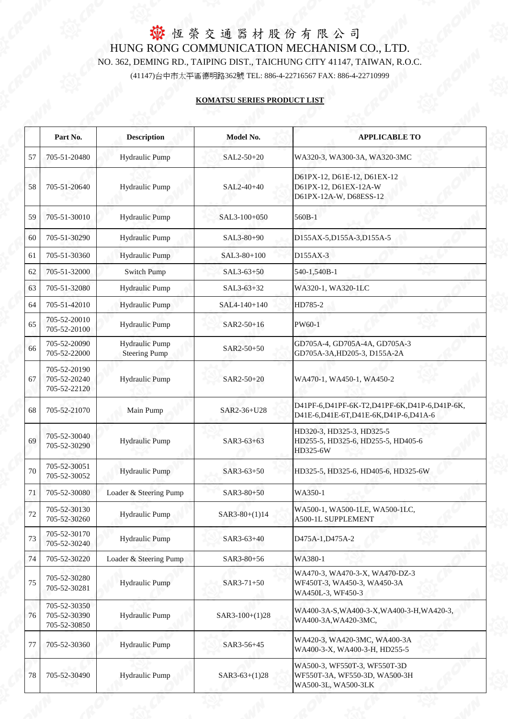|    | Part No.                                     | <b>Description</b>                            | Model No.       | <b>APPLICABLE TO</b>                                                                 |
|----|----------------------------------------------|-----------------------------------------------|-----------------|--------------------------------------------------------------------------------------|
| 57 | 705-51-20480                                 | <b>Hydraulic Pump</b>                         | SAL2-50+20      | WA320-3, WA300-3A, WA320-3MC                                                         |
| 58 | 705-51-20640                                 | <b>Hydraulic Pump</b>                         | SAL2-40+40      | D61PX-12, D61E-12, D61EX-12<br>D61PX-12, D61EX-12A-W<br>D61PX-12A-W, D68ESS-12       |
| 59 | 705-51-30010                                 | <b>Hydraulic Pump</b>                         | SAL3-100+050    | 560B-1                                                                               |
| 60 | 705-51-30290                                 | <b>Hydraulic Pump</b>                         | SAL3-80+90      | D155AX-5,D155A-3,D155A-5                                                             |
| 61 | 705-51-30360                                 | <b>Hydraulic Pump</b>                         | SAL3-80+100     | D155AX-3                                                                             |
| 62 | 705-51-32000                                 | <b>Switch Pump</b>                            | $SAL3-63+50$    | 540-1,540B-1                                                                         |
| 63 | 705-51-32080                                 | <b>Hydraulic Pump</b>                         | SAL3-63+32      | WA320-1, WA320-1LC                                                                   |
| 64 | 705-51-42010                                 | <b>Hydraulic Pump</b>                         | SAL4-140+140    | HD785-2                                                                              |
| 65 | 705-52-20010<br>705-52-20100                 | <b>Hydraulic Pump</b>                         | SAR2-50+16      | PW60-1                                                                               |
| 66 | 705-52-20090<br>705-52-22000                 | <b>Hydraulic Pump</b><br><b>Steering Pump</b> | SAR2-50+50      | GD705A-4, GD705A-4A, GD705A-3<br>GD705A-3A, HD205-3, D155A-2A                        |
| 67 | 705-52-20190<br>705-52-20240<br>705-52-22120 | <b>Hydraulic Pump</b>                         | SAR2-50+20      | WA470-1, WA450-1, WA450-2                                                            |
| 68 | 705-52-21070                                 | Main Pump                                     | SAR2-36+U28     | D41PF-6,D41PF-6K-T2,D41PF-6K,D41P-6,D41P-6K,<br>D41E-6,D41E-6T,D41E-6K,D41P-6,D41A-6 |
| 69 | 705-52-30040<br>705-52-30290                 | Hydraulic Pump                                | SAR3-63+63      | HD320-3, HD325-3, HD325-5<br>HD255-5, HD325-6, HD255-5, HD405-6<br>HD325-6W          |
| 70 | 705-52-30051<br>705-52-30052                 | <b>Hydraulic Pump</b>                         | SAR3-63+50      | HD325-5, HD325-6, HD405-6, HD325-6W                                                  |
| 71 | 705-52-30080                                 | Loader & Steering Pump                        | SAR3-80+50      | WA350-1                                                                              |
| 72 | 705-52-30130<br>705-52-30260                 | Hydraulic Pump                                | $SAR3-80+(1)14$ | WA500-1, WA500-1LE, WA500-1LC,<br><b>A500-1L SUPPLEMENT</b>                          |
| 73 | 705-52-30170<br>705-52-30240                 | <b>Hydraulic Pump</b>                         | SAR3-63+40      | D475A-1, D475A-2                                                                     |
| 74 | 705-52-30220                                 | Loader & Steering Pump                        | SAR3-80+56      | WA380-1                                                                              |
| 75 | 705-52-30280<br>705-52-30281                 | <b>Hydraulic Pump</b>                         | SAR3-71+50      | WA470-3, WA470-3-X, WA470-DZ-3<br>WF450T-3, WA450-3, WA450-3A<br>WA450L-3, WF450-3   |
| 76 | 705-52-30350<br>705-52-30390<br>705-52-30850 | <b>Hydraulic Pump</b>                         | SAR3-100+(1)28  | WA400-3A-S, WA400-3-X, WA400-3-H, WA420-3,<br>WA400-3A, WA420-3MC,                   |
| 77 | 705-52-30360                                 | <b>Hydraulic Pump</b>                         | SAR3-56+45      | WA420-3, WA420-3MC, WA400-3A<br>WA400-3-X, WA400-3-H, HD255-5                        |
| 78 | 705-52-30490                                 | Hydraulic Pump                                | $SAR3-63+(1)28$ | WA500-3, WF550T-3, WF550T-3D<br>WF550T-3A, WF550-3D, WA500-3H<br>WA500-3L, WA500-3LK |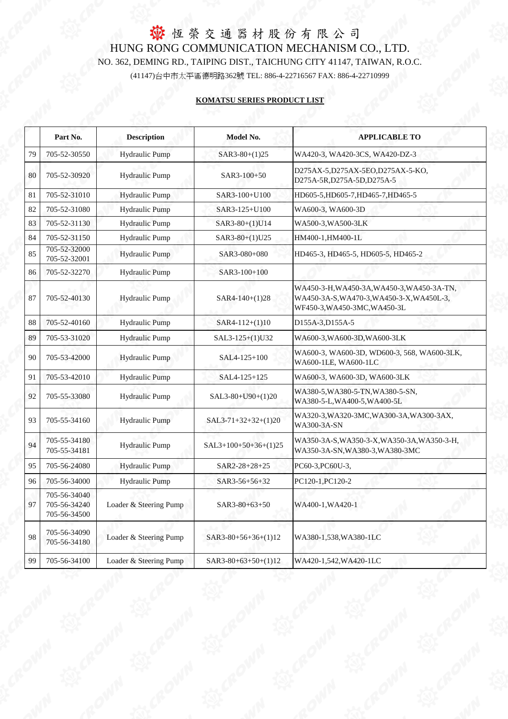|    | Part No.                                     | <b>Description</b>     | <b>Model No.</b>      | <b>APPLICABLE TO</b>                                                                                                    |  |
|----|----------------------------------------------|------------------------|-----------------------|-------------------------------------------------------------------------------------------------------------------------|--|
| 79 | 705-52-30550                                 | <b>Hydraulic Pump</b>  | $SAR3-80+(1)25$       | WA420-3, WA420-3CS, WA420-DZ-3                                                                                          |  |
| 80 | 705-52-30920                                 | <b>Hydraulic Pump</b>  | $SAR3-100+50$         | D275AX-5,D275AX-5EO,D275AX-5-KO,<br>D275A-5R, D275A-5D, D275A-5                                                         |  |
| 81 | 705-52-31010                                 | <b>Hydraulic Pump</b>  | SAR3-100+U100         | HD605-5, HD605-7, HD465-7, HD465-5                                                                                      |  |
| 82 | 705-52-31080                                 | <b>Hydraulic Pump</b>  | SAR3-125+U100         | WA600-3, WA600-3D                                                                                                       |  |
| 83 | 705-52-31130                                 | <b>Hydraulic Pump</b>  | SAR3-80+(1)U14        | WA500-3, WA500-3LK                                                                                                      |  |
| 84 | 705-52-31150                                 | <b>Hydraulic Pump</b>  | SAR3-80+(1)U25        | HM400-1, HM400-1L                                                                                                       |  |
| 85 | 705-52-32000<br>705-52-32001                 | <b>Hydraulic Pump</b>  | SAR3-080+080          | HD465-3, HD465-5, HD605-5, HD465-2                                                                                      |  |
| 86 | 705-52-32270                                 | <b>Hydraulic Pump</b>  | SAR3-100+100          |                                                                                                                         |  |
| 87 | 705-52-40130                                 | <b>Hydraulic Pump</b>  | $SAR4-140+(1)28$      | WA450-3-H, WA450-3A, WA450-3, WA450-3A-TN,<br>WA450-3A-S, WA470-3, WA450-3-X, WA450L-3,<br>WF450-3, WA450-3MC, WA450-3L |  |
| 88 | 705-52-40160                                 | <b>Hydraulic Pump</b>  | $SAR4-112+(1)10$      | D155A-3, D155A-5                                                                                                        |  |
| 89 | 705-53-31020                                 | <b>Hydraulic Pump</b>  | SAL3-125+(1)U32       | WA600-3, WA600-3D, WA600-3LK                                                                                            |  |
| 90 | 705-53-42000                                 | <b>Hydraulic Pump</b>  | SAL4-125+100          | WA600-3, WA600-3D, WD600-3, 568, WA600-3LK,<br>WA600-1LE, WA600-1LC                                                     |  |
| 91 | 705-53-42010                                 | <b>Hydraulic Pump</b>  | SAL4-125+125          | WA600-3, WA600-3D, WA600-3LK                                                                                            |  |
| 92 | 705-55-33080                                 | <b>Hydraulic Pump</b>  | SAL3-80+U90+(1)20     | WA380-5, WA380-5-TN, WA380-5-SN,<br>WA380-5-L,WA400-5,WA400-5L                                                          |  |
| 93 | 705-55-34160                                 | <b>Hydraulic Pump</b>  | $SAL3-71+32+32+(1)20$ | WA320-3, WA320-3MC, WA300-3A, WA300-3AX,<br><b>WA300-3A-SN</b>                                                          |  |
| 94 | 705-55-34180<br>705-55-34181                 | <b>Hydraulic Pump</b>  | SAL3+100+50+36+(1)25  | WA350-3A-S, WA350-3-X, WA350-3A, WA350-3-H,<br>WA350-3A-SN, WA380-3, WA380-3MC                                          |  |
| 95 | 705-56-24080                                 | <b>Hydraulic Pump</b>  | SAR2-28+28+25         | PC60-3, PC60U-3,                                                                                                        |  |
| 96 | 705-56-34000                                 | <b>Hydraulic Pump</b>  | SAR3-56+56+32         | PC120-1, PC120-2                                                                                                        |  |
| 97 | 705-56-34040<br>705-56-34240<br>705-56-34500 | Loader & Steering Pump | SAR3-80+63+50         | WA400-1, WA420-1                                                                                                        |  |
| 98 | 705-56-34090<br>705-56-34180                 | Loader & Steering Pump | SAR3-80+56+36+(1)12   | WA380-1,538, WA380-1LC                                                                                                  |  |
|    | 705-56-34100                                 | Loader & Steering Pump | SAR3-80+63+50+(1)12   | WA420-1,542, WA420-1LC                                                                                                  |  |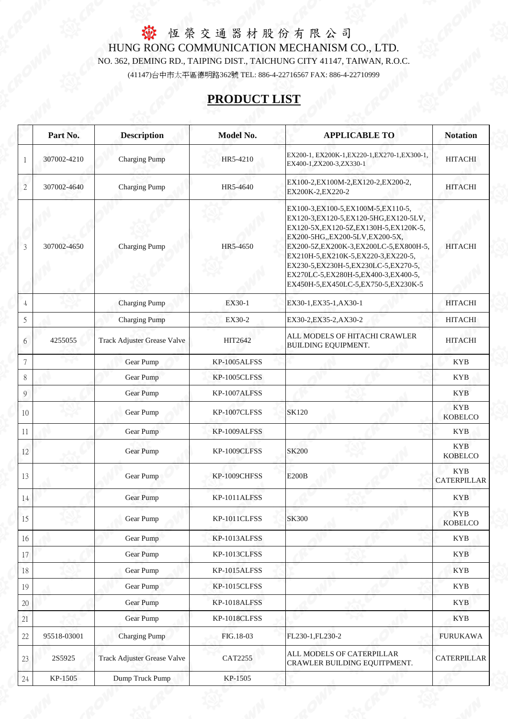|                | Part No.    | <b>Description</b>                 | <b>Model No.</b> | <b>APPLICABLE TO</b>                                                                                                                                                                                                                                                                                                                                                          | <b>Notation</b>                  |
|----------------|-------------|------------------------------------|------------------|-------------------------------------------------------------------------------------------------------------------------------------------------------------------------------------------------------------------------------------------------------------------------------------------------------------------------------------------------------------------------------|----------------------------------|
|                | 307002-4210 | <b>Charging Pump</b>               | HR5-4210         | EX200-1, EX200K-1, EX220-1, EX270-1, EX300-1,<br>EX400-1,ZX200-3,ZX330-1                                                                                                                                                                                                                                                                                                      | <b>HITACHI</b>                   |
| $\overline{2}$ | 307002-4640 | <b>Charging Pump</b>               | HR5-4640         | EX100-2, EX100M-2, EX120-2, EX200-2,<br>EX200K-2, EX220-2                                                                                                                                                                                                                                                                                                                     | <b>HITACHI</b>                   |
| 3              | 307002-4650 | <b>Charging Pump</b>               | HR5-4650         | EX100-3, EX100-5, EX100M-5, EX110-5,<br>EX120-3, EX120-5, EX120-5HG, EX120-5LV,<br>EX120-5X, EX120-5Z, EX130H-5, EX120K-5,<br>EX200-5HG, EX200-5LV, EX200-5X,<br>EX200-5Z,EX200K-3,EX200LC-5,EX800H-5,<br>EX210H-5, EX210K-5, EX220-3, EX220-5,<br>EX230-5, EX230H-5, EX230LC-5, EX270-5,<br>EX270LC-5, EX280H-5, EX400-3, EX400-5,<br>EX450H-5, EX450LC-5, EX750-5, EX230K-5 | <b>HITACHI</b>                   |
| $\overline{A}$ |             | <b>Charging Pump</b>               | EX30-1           | EX30-1, EX35-1, AX30-1                                                                                                                                                                                                                                                                                                                                                        | <b>HITACHI</b>                   |
| 5              |             | <b>Charging Pump</b>               | EX30-2           | EX30-2, EX35-2, AX30-2                                                                                                                                                                                                                                                                                                                                                        | <b>HITACHI</b>                   |
| 6              | 4255055     | <b>Track Adjuster Grease Valve</b> | HIT2642          | ALL MODELS OF HITACHI CRAWLER<br><b>BUILDING EQUIPMENT.</b>                                                                                                                                                                                                                                                                                                                   | <b>HITACHI</b>                   |
| 7              |             | Gear Pump                          | KP-1005ALFSS     |                                                                                                                                                                                                                                                                                                                                                                               | <b>KYB</b>                       |
| 8              |             | Gear Pump                          | KP-1005CLFSS     |                                                                                                                                                                                                                                                                                                                                                                               | <b>KYB</b>                       |
| 9              |             | <b>Gear Pump</b>                   | KP-1007ALFSS     |                                                                                                                                                                                                                                                                                                                                                                               | <b>KYB</b>                       |
| 10             |             | Gear Pump                          | KP-1007CLFSS     | <b>SK120</b>                                                                                                                                                                                                                                                                                                                                                                  | <b>KYB</b><br><b>KOBELCO</b>     |
| 11             |             | Gear Pump                          | KP-1009ALFSS     |                                                                                                                                                                                                                                                                                                                                                                               | <b>KYB</b>                       |
| 12             |             | <b>Gear Pump</b>                   | KP-1009CLFSS     | <b>SK200</b>                                                                                                                                                                                                                                                                                                                                                                  | <b>KYB</b><br><b>KOBELCO</b>     |
| 13             |             | Gear Pump                          | KP-1009CHFSS     | <b>E200B</b>                                                                                                                                                                                                                                                                                                                                                                  | <b>KYB</b><br><b>CATERPILLAR</b> |
| 14             |             | <b>Gear Pump</b>                   | KP-1011ALFSS     |                                                                                                                                                                                                                                                                                                                                                                               | <b>KYB</b>                       |
| 15             |             | Gear Pump                          | KP-1011CLFSS     | <b>SK300</b>                                                                                                                                                                                                                                                                                                                                                                  | <b>KYB</b><br><b>KOBELCO</b>     |
| 16             |             | Gear Pump                          | KP-1013ALFSS     |                                                                                                                                                                                                                                                                                                                                                                               | <b>KYB</b>                       |
| 17             |             | <b>Gear Pump</b>                   | KP-1013CLFSS     |                                                                                                                                                                                                                                                                                                                                                                               | <b>KYB</b>                       |
| 18             |             | Gear Pump                          | KP-1015ALFSS     |                                                                                                                                                                                                                                                                                                                                                                               | <b>KYB</b>                       |
| 19             |             | Gear Pump                          | KP-1015CLFSS     |                                                                                                                                                                                                                                                                                                                                                                               | <b>KYB</b>                       |
| 20             |             | <b>Gear Pump</b>                   | KP-1018ALFSS     |                                                                                                                                                                                                                                                                                                                                                                               | <b>KYB</b>                       |
| 21             |             | Gear Pump                          | KP-1018CLFSS     |                                                                                                                                                                                                                                                                                                                                                                               | <b>KYB</b>                       |
| 22             | 95518-03001 | <b>Charging Pump</b>               | FIG.18-03        | FL230-1, FL230-2                                                                                                                                                                                                                                                                                                                                                              | <b>FURUKAWA</b>                  |
| 23             | 2S5925      | <b>Track Adjuster Grease Valve</b> | <b>CAT2255</b>   | ALL MODELS OF CATERPILLAR<br>CRAWLER BUILDING EQUITPMENT.                                                                                                                                                                                                                                                                                                                     | <b>CATERPILLAR</b>               |
| 24             | KP-1505     | Dump Truck Pump                    | KP-1505          |                                                                                                                                                                                                                                                                                                                                                                               |                                  |

# **PRODUCT LIST**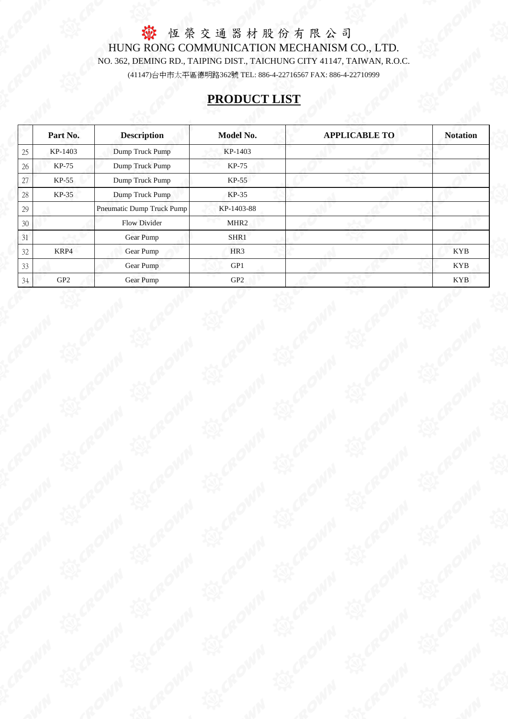## **PRODUCT LIST**

 恆 榮 交 通 器 材 股 份 有 限 公 司 HUNG RONG COMMUNICATION MECHANISM CO., LTD. (41147)台中市太平區德明路362號 TEL: 886-4-22716567 FAX: 886-4-22710999 NO. 362, DEMING RD., TAIPING DIST., TAICHUNG CITY 41147, TAIWAN, R.O.C.

|    | Part No.        | <b>Description</b>        | <b>Model No.</b> | <b>APPLICABLE TO</b> | <b>Notation</b> |
|----|-----------------|---------------------------|------------------|----------------------|-----------------|
| 25 | KP-1403         | Dump Truck Pump           | KP-1403          |                      |                 |
| 26 | KP-75           | Dump Truck Pump           | <b>KP-75</b>     |                      |                 |
| 27 | KP-55           | Dump Truck Pump           | $KP-55$          |                      |                 |
| 28 | KP-35           | Dump Truck Pump           | <b>KP-35</b>     |                      |                 |
| 29 |                 | Pneumatic Dump Truck Pump | KP-1403-88       |                      |                 |
| 30 |                 | <b>Flow Divider</b>       | MHR <sub>2</sub> |                      |                 |
| 31 |                 | <b>Gear Pump</b>          | SHR1             |                      |                 |
| 32 | KRP4            | Gear Pump                 | HR <sub>3</sub>  |                      | <b>KYB</b>      |
| 33 |                 | Gear Pump                 | GP1              |                      | <b>KYB</b>      |
| 34 | GP <sub>2</sub> | Gear Pump                 | GP <sub>2</sub>  |                      | <b>KYB</b>      |